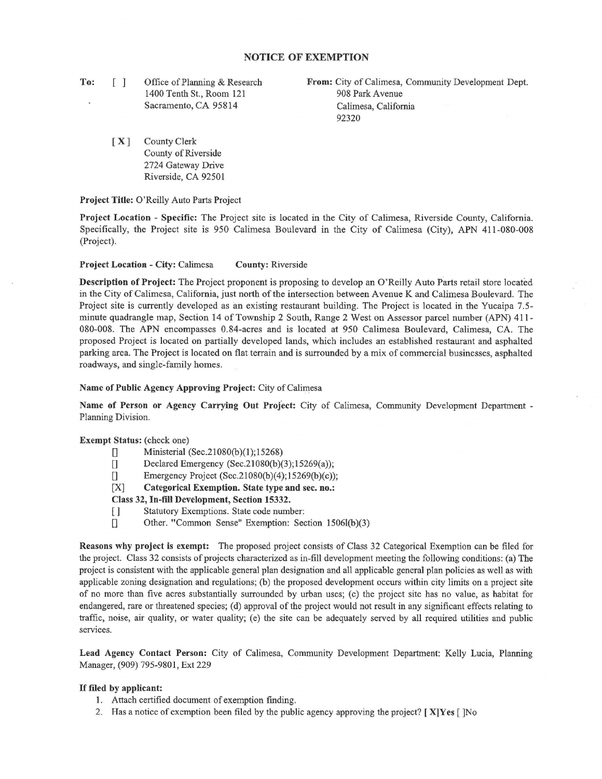# **NOTICE OF EXEMPTION**

**To:**  [ ] Office of Planning & Research 1400 Tenth St., Room 121 Sacramento, CA 95814

**From:** City of Calimesa, Community Development Dept. 908 Park A venue Calimesa, California 92320

[ **X** ] County Clerk County of Riverside 2724 Gateway Drive Riverside, CA 92501

**Project Title:** O'Reilly Auto Parts Project

**Project Location** - **Specific:** The Project site is located in the City of Calimesa, Riverside County, California. Specifically, the Project site is 950 Calimesa Boulevard in the City of Calimesa (City), APN 411-080-008 (Project).

**Project Location** - **City:** Calimesa **County:** Riverside

**Description of Project:** The Project proponent is proposing to develop an O'Reilly Auto Parts retail store located in the City of Calimesa, California, just north of the intersection between A venue K and Calimesa Boulevard. The Project site is currently developed as an existing restaurant building. The Project is located in the Yucaipa 7.5 minute quadrangle map, Section 14 of Township 2 South, Range 2 West on Assessor parcel number (APN) 411- 080-008. The APN encompasses 0.84-acres and is located at 950 Calimesa Boulevard, Calimesa, CA. The proposed Project is located on partially developed lands, which includes an established restaurant and asphalted parking area. The Project is located on flat terrain and is surrounded by a mix of commercial businesses, asphalted roadways, and single-family homes.

### **Name of Public Agency Approving Project:** City of Calimesa

**Name of Person or Agency Carrying Out Project:** City of Calimesa, Community Development Department - Planning Division.

## **Exempt Status:** (check one)

- [] Ministerial  $(Sec.21080(b)(1); 15268)$
- [] Declared Emergency (Sec.21080(b)(3);15269(a));
- $\Box$  Emergency Project (Sec.21080(b)(4);15269(b)(c));
- [X] **Categorical Exemption. State type and sec. no.:**

### **Class 32, In-fill Development, Section 15332.**

- [ ] Statutory Exemptions. State code number:
- [] Other. "Common Sense" Exemption: Section 1506l(b)(3)

**Reasons why project is exempt:** The proposed project consists of Class 32 Categorical Exemption can be filed for the project. Class 32 consists of projects characterized as in-fill development meeting the following conditions: (a) The project is consistent with the applicable general plan designation and all applicable general plan policies as well as with applicable zoning designation and regulations; (b) the proposed development occurs within city limits on a project site of no more than five acres substantially surrounded by urban uses; (c) the project site has no value, as habitat for endangered, rare or threatened species; (d) approval of the project would not result in any significant effects relating to traffic, noise, air quality, or water quality; (e) the site can be adequately served by all required utilities and public services.

**Lead Agency Contact Person:** City of Calimesa, Community Development Department: Kelly Lucia, Planning Manager, (909) 795-9801, Ext 229

#### If **filed by applicant:**

- 1. Attach certified document of exemption finding,
- 2. Has a notice of exemption been filed by the public agency approving the project? [ **X]Yes** [ ]No